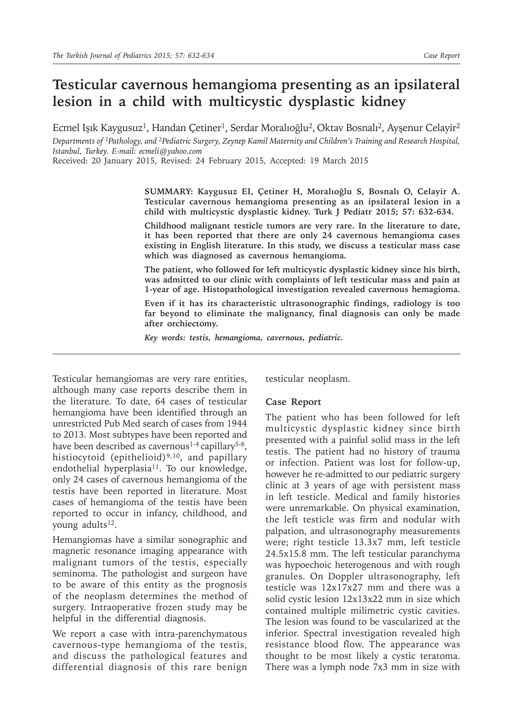## **Testicular cavernous hemangioma presenting as an ipsilateral lesion in a child with multicystic dysplastic kidney**

Ecmel Işık Kaygusuz<sup>1</sup>, Handan Çetiner<sup>1</sup>, Serdar Moralıoğlu<sup>2</sup>, Oktav Bosnalı<sup>2</sup>, Ayşenur Celayir<sup>2</sup> *Departments of 1Pathology, and 2Pediatric Surgery, Zeynep Kamil Maternity and Children's Training and Research Hospital, Istanbul, Turkey. E-mail: ecmeli@yahoo.com*

Received: 20 January 2015, Revised: 24 February 2015, Accepted: 19 March 2015

**SUMMARY: Kaygusuz EI, Çetiner H, Moralıoğlu S, Bosnalı O, Celayir A. Testicular cavernous hemangioma presenting as an ipsilateral lesion in a child with multicystic dysplastic kidney. Turk J Pediatr 2015; 57: 632-634.**

**Childhood malignant testicle tumors are very rare. In the literature to date, it has been reported that there are only 24 cavernous hemangioma cases existing in English literature. In this study, we discuss a testicular mass case which was diagnosed as cavernous hemangioma.**

**The patient, who followed for left multicystic dysplastic kidney since his birth, was admitted to our clinic with complaints of left testicular mass and pain at 1-year of age. Histopathological investigation revealed cavernous hemagioma.**

**Even if it has its characteristic ultrasonographic findings, radiology is too far beyond to eliminate the malignancy, final diagnosis can only be made after orchiectomy.**

*Key words: testis, hemangioma, cavernous, pediatric.*

Testicular hemangiomas are very rare entities, although many case reports describe them in the literature. To date, 64 cases of testicular hemangioma have been identified through an unrestricted Pub Med search of cases from 1944 to 2013. Most subtypes have been reported and have been described as cavernous<sup>1-4</sup> capillary<sup>5-8</sup>, histiocytoid (epithelioid)<sup>9,10</sup>, and papillary endothelial hyperplasia<sup>11</sup>. To our knowledge, only 24 cases of cavernous hemangioma of the testis have been reported in literature. Most cases of hemangioma of the testis have been reported to occur in infancy, childhood, and young adults $12$ .

Hemangiomas have a similar sonographic and magnetic resonance imaging appearance with malignant tumors of the testis, especially seminoma. The pathologist and surgeon have to be aware of this entity as the prognosis of the neoplasm determines the method of surgery. Intraoperative frozen study may be helpful in the differential diagnosis.

We report a case with intra-parenchymatous cavernous-type hemangioma of the testis, and discuss the pathological features and differential diagnosis of this rare benign

testicular neoplasm.

## **Case Report**

The patient who has been followed for left multicystic dysplastic kidney since birth presented with a painful solid mass in the left testis. The patient had no history of trauma or infection. Patient was lost for follow-up, however he re-admitted to our pediatric surgery clinic at 3 years of age with persistent mass in left testicle. Medical and family histories were unremarkable. On physical examination, the left testicle was firm and nodular with palpation, and ultrasonography measurements were; right testicle 13.3x7 mm, left testicle 24.5x15.8 mm. The left testicular paranchyma was hypoechoic heterogenous and with rough granules. On Doppler ultrasonography, left testicle was 12x17x27 mm and there was a solid cystic lesion 12x13x22 mm in size which contained multiple milimetric cystic cavities. The lesion was found to be vascularized at the inferior. Spectral investigation revealed high resistance blood flow. The appearance was thought to be most likely a cystic teratoma. There was a lymph node 7x3 mm in size with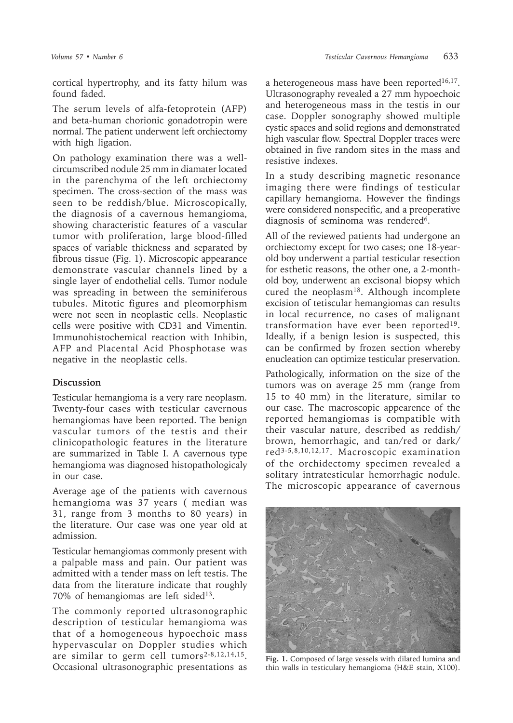cortical hypertrophy, and its fatty hilum was found faded.

The serum levels of alfa-fetoprotein (AFP) and beta-human chorionic gonadotropin were normal. The patient underwent left orchiectomy with high ligation.

On pathology examination there was a wellcircumscribed nodule 25 mm in diamater located in the parenchyma of the left orchiectomy specimen. The cross-section of the mass was seen to be reddish/blue. Microscopically, the diagnosis of a cavernous hemangioma, showing characteristic features of a vascular tumor with proliferation, large blood-filled spaces of variable thickness and separated by fibrous tissue (Fig. 1). Microscopic appearance demonstrate vascular channels lined by a single layer of endothelial cells. Tumor nodule was spreading in between the seminiferous tubules. Mitotic figures and pleomorphism were not seen in neoplastic cells. Neoplastic cells were positive with CD31 and Vimentin. Immunohistochemical reaction with Inhibin, AFP and Placental Acid Phosphotase was negative in the neoplastic cells.

## **Discussion**

Testicular hemangioma is a very rare neoplasm. Twenty-four cases with testicular cavernous hemangiomas have been reported. The benign vascular tumors of the testis and their clinicopathologic features in the literature are summarized in Table I. A cavernous type hemangioma was diagnosed histopathologicaly in our case.

Average age of the patients with cavernous hemangioma was 37 years ( median was 31, range from 3 months to 80 years) in the literature. Our case was one year old at admission.

Testicular hemangiomas commonly present with a palpable mass and pain. Our patient was admitted with a tender mass on left testis. The data from the literature indicate that roughly 70% of hemangiomas are left sided<sup>13</sup>.

The commonly reported ultrasonographic description of testicular hemangioma was that of a homogeneous hypoechoic mass hypervascular on Doppler studies which are similar to germ cell tumors<sup>2-8,12,14,15</sup>. Occasional ultrasonographic presentations as a heterogeneous mass have been reported $16,17$ . Ultrasonography revealed a 27 mm hypoechoic and heterogeneous mass in the testis in our case. Doppler sonography showed multiple cystic spaces and solid regions and demonstrated high vascular flow. Spectral Doppler traces were obtained in five random sites in the mass and resistive indexes.

In a study describing magnetic resonance imaging there were findings of testicular capillary hemangioma. However the findings were considered nonspecific, and a preoperative diagnosis of seminoma was rendered<sup>6</sup>.

All of the reviewed patients had undergone an orchiectomy except for two cases; one 18-yearold boy underwent a partial testicular resection for esthetic reasons, the other one, a 2-monthold boy, underwent an excisonal biopsy which cured the neoplasm<sup>18</sup>. Although incomplete excision of tetiscular hemangiomas can results in local recurrence, no cases of malignant transformation have ever been reported<sup>19</sup>. Ideally, if a benign lesion is suspected, this can be confirmed by frozen section whereby enucleation can optimize testicular preservation.

Pathologically, information on the size of the tumors was on average 25 mm (range from 15 to 40 mm) in the literature, similar to our case. The macroscopic appearence of the reported hemangiomas is compatible with their vascular nature, described as reddish/ brown, hemorrhagic, and tan/red or dark/ red3-5,8,10,12,17. Macroscopic examination of the orchidectomy specimen revealed a solitary intratesticular hemorrhagic nodule. The microscopic appearance of cavernous



**Fig. 1.** Composed of large vessels with dilated lumina and thin walls in testiculary hemangioma (H&E stain, X100).